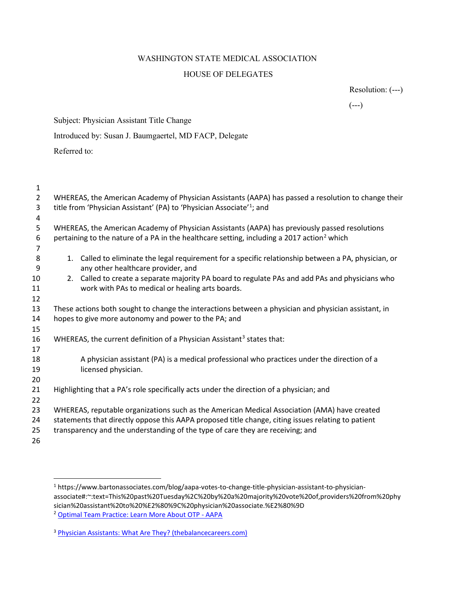## WASHINGTON STATE MEDICAL ASSOCIATION HOUSE OF DELEGATES

Resolution: (---)

 $(- - )$ 

Subject: Physician Assistant Title Change

Introduced by: Susan J. Baumgaertel, MD FACP, Delegate

Referred to:

| 1              |                                                                                                                                            |
|----------------|--------------------------------------------------------------------------------------------------------------------------------------------|
| $\overline{2}$ | WHEREAS, the American Academy of Physician Assistants (AAPA) has passed a resolution to change their                                       |
| 3              | title from 'Physician Assistant' (PA) to 'Physician Associate' <sup>1</sup> ; and                                                          |
| 4              |                                                                                                                                            |
| 5              | WHEREAS, the American Academy of Physician Assistants (AAPA) has previously passed resolutions                                             |
| 6              | pertaining to the nature of a PA in the healthcare setting, including a 2017 action <sup>2</sup> which                                     |
| 7              |                                                                                                                                            |
| 8<br>9         | 1. Called to eliminate the legal requirement for a specific relationship between a PA, physician, or<br>any other healthcare provider, and |
| 10             | Called to create a separate majority PA board to regulate PAs and add PAs and physicians who<br>2.                                         |
| 11             | work with PAs to medical or healing arts boards.                                                                                           |
| 12             |                                                                                                                                            |
| 13             | These actions both sought to change the interactions between a physician and physician assistant, in                                       |
| 14             | hopes to give more autonomy and power to the PA; and                                                                                       |
| 15             |                                                                                                                                            |
| 16             | WHEREAS, the current definition of a Physician Assistant <sup>3</sup> states that:                                                         |
| 17             |                                                                                                                                            |
| 18             | A physician assistant (PA) is a medical professional who practices under the direction of a                                                |
| 19             | licensed physician.                                                                                                                        |
| 20             |                                                                                                                                            |
| 21             | Highlighting that a PA's role specifically acts under the direction of a physician; and                                                    |
| 22             |                                                                                                                                            |
| 23             | WHEREAS, reputable organizations such as the American Medical Association (AMA) have created                                               |
| 24             | statements that directly oppose this AAPA proposed title change, citing issues relating to patient                                         |
| 25             | transparency and the understanding of the type of care they are receiving; and                                                             |
| 26             |                                                                                                                                            |
|                |                                                                                                                                            |

 https://www.bartonassociates.com/blog/aapa-votes-to-change-title-physician-assistant-to-physicianassociate#:~:text=This%20past%20Tuesday%2C%20by%20a%20majority%20vote%20of,providers%20from%20phy sician%20assistant%20to%20%E2%80%9C%20physician%20associate.%E2%80%9D

Optimal Team Practice: Learn More About OTP - AAPA

<sup>&</sup>lt;sup>3</sup> Physician Assistants: What Are They? (thebalancecareers.com)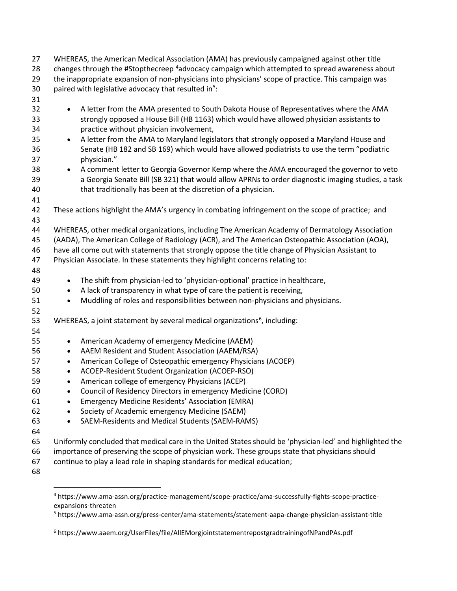| 27 | WHEREAS, the American Medical Association (AMA) has previously campaigned against other title              |
|----|------------------------------------------------------------------------------------------------------------|
| 28 | changes through the #Stopthecreep <sup>4</sup> advocacy campaign which attempted to spread awareness about |
| 29 | the inappropriate expansion of non-physicians into physicians' scope of practice. This campaign was        |
| 30 | paired with legislative advocacy that resulted in <sup>5</sup> :                                           |
| 31 |                                                                                                            |
| 32 | A letter from the AMA presented to South Dakota House of Representatives where the AMA<br>$\bullet$        |
| 33 | strongly opposed a House Bill (HB 1163) which would have allowed physician assistants to                   |
| 34 | practice without physician involvement,                                                                    |
| 35 | A letter from the AMA to Maryland legislators that strongly opposed a Maryland House and<br>$\bullet$      |
| 36 | Senate (HB 182 and SB 169) which would have allowed podiatrists to use the term "podiatric                 |
| 37 | physician."                                                                                                |
| 38 | A comment letter to Georgia Governor Kemp where the AMA encouraged the governor to veto<br>$\bullet$       |
| 39 | a Georgia Senate Bill (SB 321) that would allow APRNs to order diagnostic imaging studies, a task          |
| 40 | that traditionally has been at the discretion of a physician.                                              |
| 41 |                                                                                                            |
| 42 | These actions highlight the AMA's urgency in combating infringement on the scope of practice; and          |
| 43 |                                                                                                            |
| 44 | WHEREAS, other medical organizations, including The American Academy of Dermatology Association            |
| 45 | (AADA), The American College of Radiology (ACR), and The American Osteopathic Association (AOA),           |
| 46 | have all come out with statements that strongly oppose the title change of Physician Assistant to          |
| 47 | Physician Associate. In these statements they highlight concerns relating to:                              |
| 48 |                                                                                                            |
| 49 | The shift from physician-led to 'physician-optional' practice in healthcare,<br>$\bullet$                  |
| 50 | A lack of transparency in what type of care the patient is receiving,<br>$\bullet$                         |
| 51 | Muddling of roles and responsibilities between non-physicians and physicians.<br>$\bullet$                 |
| 52 |                                                                                                            |
| 53 | WHEREAS, a joint statement by several medical organizations <sup>6</sup> , including:                      |
| 54 |                                                                                                            |
| 55 | American Academy of emergency Medicine (AAEM)<br>$\bullet$                                                 |
| 56 | AAEM Resident and Student Association (AAEM/RSA)<br>$\bullet$                                              |
| 57 | American College of Osteopathic emergency Physicians (ACOEP)<br>$\bullet$                                  |
| 58 | ACOEP-Resident Student Organization (ACOEP-RSO)<br>$\bullet$                                               |
| 59 | American college of emergency Physicians (ACEP)<br>$\bullet$                                               |
| 60 | Council of Residency Directors in emergency Medicine (CORD)                                                |
| 61 | <b>Emergency Medicine Residents' Association (EMRA)</b>                                                    |
| 62 | Society of Academic emergency Medicine (SAEM)<br>$\bullet$                                                 |
| 63 | SAEM-Residents and Medical Students (SAEM-RAMS)                                                            |
| 64 |                                                                                                            |
| 65 | Uniformly concluded that medical care in the United States should be 'physician-led' and highlighted the   |
| 66 | importance of preserving the scope of physician work. These groups state that physicians should            |

- continue to play a lead role in shaping standards for medical education;
- 

 https://www.ama-assn.org/practice-management/scope-practice/ama-successfully-fights-scope-practiceexpansions-threaten

https://www.ama-assn.org/press-center/ama-statements/statement-aapa-change-physician-assistant-title

https://www.aaem.org/UserFiles/file/AllEMorgjointstatementrepostgradtrainingofNPandPAs.pdf